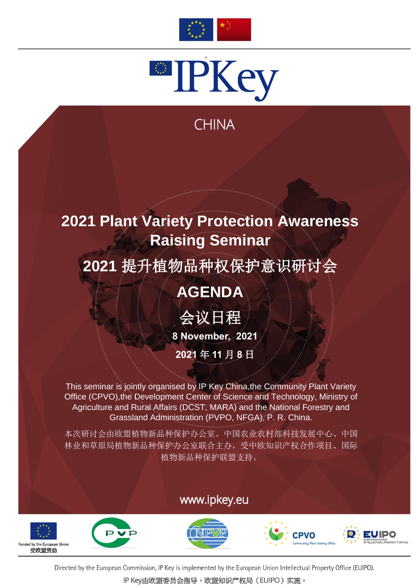



## **CHINA**

# **2021 Plant Variety Protection Awareness Raising Seminar**

# **2021** 提升植物品种权保护意识研讨会

## **AGENDA**

会议日程

**8 November, 2021**

**2021** 年 **11** 月 **8** 日

This seminar is jointly organised by IP Key China,the Community Plant Variety<br>Office (CPVO),the Development Center of Science and Technology, Ministry of Agriculture and Rural Affairs (DCST, MARA) and the National Forestry and Grassland Administration (PVPO, NFGA), P. R. China.

本次研讨会由欧盟植物新品种保护办公室、中国农业农村部科技发展中心、中国 林业和草原局植物新品种保护办公室联合主办,受中欧知识产权合作项目、国际 植物新品种保护联盟支持。

#### www.ipkey.eu









Directed by the European Commission, IP Key is implemented by the European Union Intellectual Property Office (EUIPO).

IP Key由欧盟委员会指导,欧盟知识产权局(EUIPO)实施。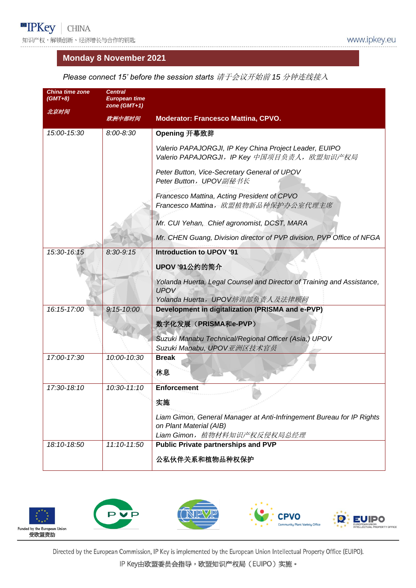#### **Monday 8 November 2021**

| Please connect 15' before the session starts 请于会议开始前 15 分钟连线接入 |  |
|----------------------------------------------------------------|--|
|                                                                |  |

| China time zone<br>(GMT+8)<br>北京时间 | <b>Central</b><br><b>European time</b><br>zone $(GMT+1)$ |                                                                                                       |
|------------------------------------|----------------------------------------------------------|-------------------------------------------------------------------------------------------------------|
|                                    | 欧洲中部时间                                                   | <b>Moderator: Francesco Mattina, CPVO.</b>                                                            |
| 15:00-15:30                        | $8:00 - 8:30$                                            | Opening 开幕致辞                                                                                          |
|                                    |                                                          | Valerio PAPAJORGJI, IP Key China Project Leader, EUIPO<br>Valerio PAPAJORGJI, IP Key 中国项目负责人, 欧盟知识产权局 |
|                                    |                                                          | Peter Button, Vice-Secretary General of UPOV<br>Peter Button, UPOV副秘书长                                |
|                                    |                                                          | Francesco Mattina, Acting President of CPVO<br>Francesco Mattina, 欧盟植物新品种保护办公室代理主席                    |
|                                    |                                                          | Mr. CUI Yehan, Chief agronomist, DCST, MARA                                                           |
|                                    |                                                          | Mr. CHEN Guang, Division director of PVP division, PVP Office of NFGA                                 |
| 15:30-16:15                        | $8:30 - 9:15$                                            | <b>Introduction to UPOV '91</b>                                                                       |
|                                    |                                                          | <b>UPOV '91公约的简介</b>                                                                                  |
|                                    |                                                          | Yolanda Huerta, Legal Counsel and Director of Training and Assistance,<br><b>UPOV</b>                 |
|                                    |                                                          | Yolanda Huerta, UPOV培训部负责人及法律顾问                                                                       |
| 16:15-17:00                        | $9:15 - 10:00$                                           | Development in digitalization (PRISMA and e-PVP)                                                      |
|                                    |                                                          | 数字化发展 (PRISMA和e-PVP)                                                                                  |
|                                    |                                                          | Suzuki Manabu Technical/Regional Officer (Asia,) UPOV<br>Suzuki Manabu, UPOV亚洲区技术官员                   |
| 17:00-17:30                        | 10:00-10:30                                              | <b>Break</b>                                                                                          |
|                                    |                                                          | 休息                                                                                                    |
| 17:30-18:10                        | 10:30-11:10                                              | <b>Enforcement</b>                                                                                    |
|                                    |                                                          | 实施                                                                                                    |
|                                    |                                                          | Liam Gimon, General Manager at Anti-Infringement Bureau for IP Rights                                 |
|                                    |                                                          | on Plant Material (AIB)<br>Liam Gimon, 植物材料知识产权反侵权局总经理                                                |
| 18:10-18:50                        | 11:10-11:50                                              | <b>Public Private partnerships and PVP</b>                                                            |
|                                    |                                                          | 公私伙伴关系和植物品种权保护                                                                                        |



Directed by the European Commission, IP Key is implemented by the European Union Intellectual Property Office (EUIPO).

IP Key由欧盟委员会指导,欧盟知识产权局(EUIPO)实施。